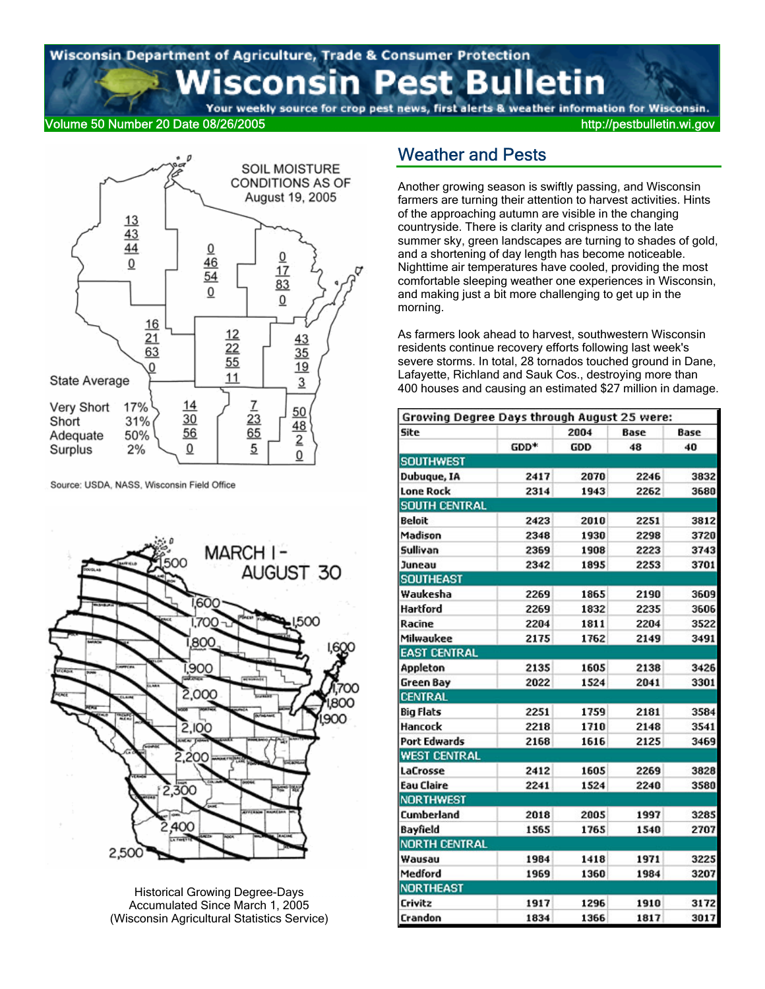# Wisconsin Department of Agriculture, Trade & Consumer Protection sconsin Pest Bulletin

Your weekly source for crop pest news, first alerts & weather information for Wisconsin.

#### Volume 50 Number 20 Date 08/26/2005 http://pestbulletin.wi.gov



Source: USDA, NASS, Wisconsin Field Office



Historical Growing Degree-Days Accumulated Since March 1, 2005 (Wisconsin Agricultural Statistics Service)

## Weather and Pests

Another growing season is swiftly passing, and Wisconsin farmers are turning their attention to harvest activities. Hints of the approaching autumn are visible in the changing countryside. There is clarity and crispness to the late summer sky, green landscapes are turning to shades of gold, and a shortening of day length has become noticeable. Nighttime air temperatures have cooled, providing the most comfortable sleeping weather one experiences in Wisconsin, and making just a bit more challenging to get up in the morning.

As farmers look ahead to harvest, southwestern Wisconsin residents continue recovery efforts following last week's severe storms. In total, 28 tornados touched ground in Dane, Lafayette, Richland and Sauk Cos., destroying more than 400 houses and causing an estimated \$27 million in damage.

| Growing Degree Days through August 25 were: |                  |      |      |      |
|---------------------------------------------|------------------|------|------|------|
| Site                                        |                  | 2004 | Base | Base |
|                                             | GDD <sup>*</sup> | GDD  | 48   | 40   |
| <b>SOUTHWEST</b>                            |                  |      |      |      |
| Dubuque, IA                                 | 2417             | 2070 | 2246 | 3832 |
| <b>Lone Rock</b>                            | 2314             | 1943 | 2262 | 3680 |
| <b>SOUTH CENTRAL</b>                        |                  |      |      |      |
| Beloit                                      | 2423             | 2010 | 2251 | 3812 |
| Madison                                     | 2348             | 1930 | 2298 | 3720 |
| Sullivan                                    | 2369             | 1908 | 2223 | 3743 |
| Juneau                                      | 2342             | 1895 | 2253 | 3701 |
| <b>SOUTHEAST</b>                            |                  |      |      |      |
| Waukesha                                    | 2269             | 1865 | 2190 | 3609 |
| Hartford                                    | 2269             | 1832 | 2235 | 3606 |
| Racine                                      | 2204             | 1811 | 2204 | 3522 |
| Milwaukee                                   | 2175             | 1762 | 2149 | 3491 |
| <b>EAST CENTRAL</b>                         |                  |      |      |      |
| Appleton                                    | 2135             | 1605 | 2138 | 3426 |
| Green Bay                                   | 2022             | 1524 | 2041 | 3301 |
| <b>CENTRAL</b>                              |                  |      |      |      |
| Big Flats                                   | 2251             | 1759 | 2181 | 3584 |
| Hancock                                     | 2218             | 1710 | 2148 | 3541 |
| Port Edwards                                | 2168             | 1616 | 2125 | 3469 |
| <b>WEST CENTRAL</b>                         |                  |      |      |      |
| LaCrosse                                    | 2412             | 1605 | 2269 | 3828 |
| <b>Eau Claire</b>                           | 2241             | 1524 | 2240 | 3580 |
| <b>NORTHWEST</b>                            |                  |      |      |      |
| Cumberland                                  | 2018             | 2005 | 1997 | 3285 |
| Bayfield                                    | 1565             | 1765 | 1540 | 2707 |
| <b>NORTH CENTRAL</b>                        |                  |      |      |      |
| Wausau                                      | 1984             | 1418 | 1971 | 3225 |
| Medford                                     | 1969             | 1360 | 1984 | 3207 |
| <b>NORTHEAST</b>                            |                  |      |      |      |
| Crivitz                                     | 1917             | 1296 | 1910 | 3172 |
| Crandon                                     | 1834             | 1366 | 1817 | 3017 |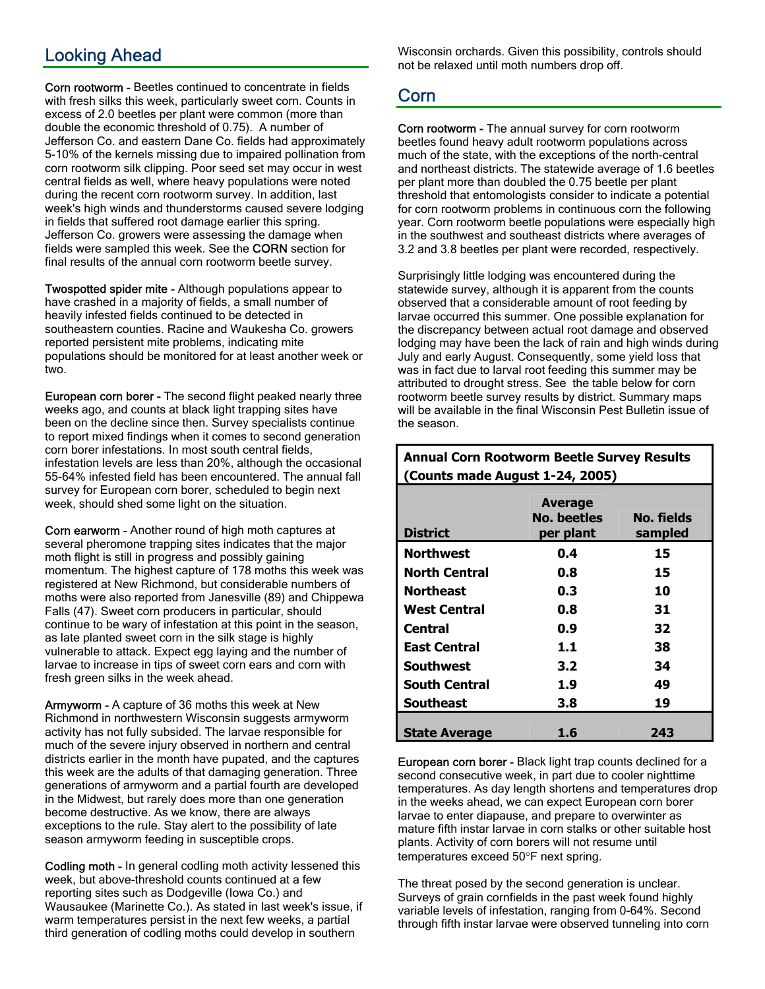# Looking Ahead

Corn rootworm - Beetles continued to concentrate in fields with fresh silks this week, particularly sweet corn. Counts in excess of 2.0 beetles per plant were common (more than double the economic threshold of 0.75). A number of Jefferson Co. and eastern Dane Co. fields had approximately 5-10% of the kernels missing due to impaired pollination from corn rootworm silk clipping. Poor seed set may occur in west central fields as well, where heavy populations were noted during the recent corn rootworm survey. In addition, last week's high winds and thunderstorms caused severe lodging in fields that suffered root damage earlier this spring. Jefferson Co. growers were assessing the damage when fields were sampled this week. See the CORN section for final results of the annual corn rootworm beetle survey.

Twospotted spider mite - Although populations appear to have crashed in a majority of fields, a small number of heavily infested fields continued to be detected in southeastern counties. Racine and Waukesha Co. growers reported persistent mite problems, indicating mite populations should be monitored for at least another week or two.

European corn borer - The second flight peaked nearly three weeks ago, and counts at black light trapping sites have been on the decline since then. Survey specialists continue to report mixed findings when it comes to second generation corn borer infestations. In most south central fields, infestation levels are less than 20%, although the occasional 55-64% infested field has been encountered. The annual fall survey for European corn borer, scheduled to begin next week, should shed some light on the situation.

Corn earworm - Another round of high moth captures at several pheromone trapping sites indicates that the major moth flight is still in progress and possibly gaining momentum. The highest capture of 178 moths this week was registered at New Richmond, but considerable numbers of moths were also reported from Janesville (89) and Chippewa Falls (47). Sweet corn producers in particular, should continue to be wary of infestation at this point in the season, as late planted sweet corn in the silk stage is highly vulnerable to attack. Expect egg laying and the number of larvae to increase in tips of sweet corn ears and corn with fresh green silks in the week ahead.

Armyworm - A capture of 36 moths this week at New Richmond in northwestern Wisconsin suggests armyworm activity has not fully subsided. The larvae responsible for much of the severe injury observed in northern and central districts earlier in the month have pupated, and the captures this week are the adults of that damaging generation. Three generations of armyworm and a partial fourth are developed in the Midwest, but rarely does more than one generation become destructive. As we know, there are always exceptions to the rule. Stay alert to the possibility of late season armyworm feeding in susceptible crops.

Codling moth - In general codling moth activity lessened this week, but above-threshold counts continued at a few reporting sites such as Dodgeville (Iowa Co.) and Wausaukee (Marinette Co.). As stated in last week's issue, if warm temperatures persist in the next few weeks, a partial third generation of codling moths could develop in southern

Wisconsin orchards. Given this possibility, controls should not be relaxed until moth numbers drop off.

## Corn

Corn rootworm - The annual survey for corn rootworm beetles found heavy adult rootworm populations across much of the state, with the exceptions of the north-central and northeast districts. The statewide average of 1.6 beetles per plant more than doubled the 0.75 beetle per plant threshold that entomologists consider to indicate a potential for corn rootworm problems in continuous corn the following year. Corn rootworm beetle populations were especially high in the southwest and southeast districts where averages of 3.2 and 3.8 beetles per plant were recorded, respectively.

Surprisingly little lodging was encountered during the statewide survey, although it is apparent from the counts observed that a considerable amount of root feeding by larvae occurred this summer. One possible explanation for the discrepancy between actual root damage and observed lodging may have been the lack of rain and high winds during July and early August. Consequently, some yield loss that was in fact due to larval root feeding this summer may be attributed to drought stress. See the table below for corn rootworm beetle survey results by district. Summary maps will be available in the final Wisconsin Pest Bulletin issue of the season.

### **Annual Corn Rootworm Beetle Survey Results (Counts made August 1-24, 2005)**

| <b>District</b>      | <b>Average</b><br>No. beetles<br>per plant | No. fields<br>sampled |
|----------------------|--------------------------------------------|-----------------------|
| <b>Northwest</b>     | 0.4                                        | 15                    |
| <b>North Central</b> | 0.8                                        | 15                    |
| <b>Northeast</b>     | 0.3                                        | 10                    |
| <b>West Central</b>  | 0.8                                        | 31                    |
| Central              | 0.9                                        | 32                    |
| <b>East Central</b>  | 1.1                                        | 38                    |
| Southwest            | 3.2                                        | 34                    |
| <b>South Central</b> | 1.9                                        | 49                    |
| <b>Southeast</b>     | 3.8                                        | 19                    |
| <b>State Average</b> | 1.6                                        | 243                   |

European corn borer - Black light trap counts declined for a second consecutive week, in part due to cooler nighttime temperatures. As day length shortens and temperatures drop in the weeks ahead, we can expect European corn borer larvae to enter diapause, and prepare to overwinter as mature fifth instar larvae in corn stalks or other suitable host plants. Activity of corn borers will not resume until temperatures exceed 50°F next spring.

The threat posed by the second generation is unclear. Surveys of grain cornfields in the past week found highly variable levels of infestation, ranging from 0-64%. Second through fifth instar larvae were observed tunneling into corn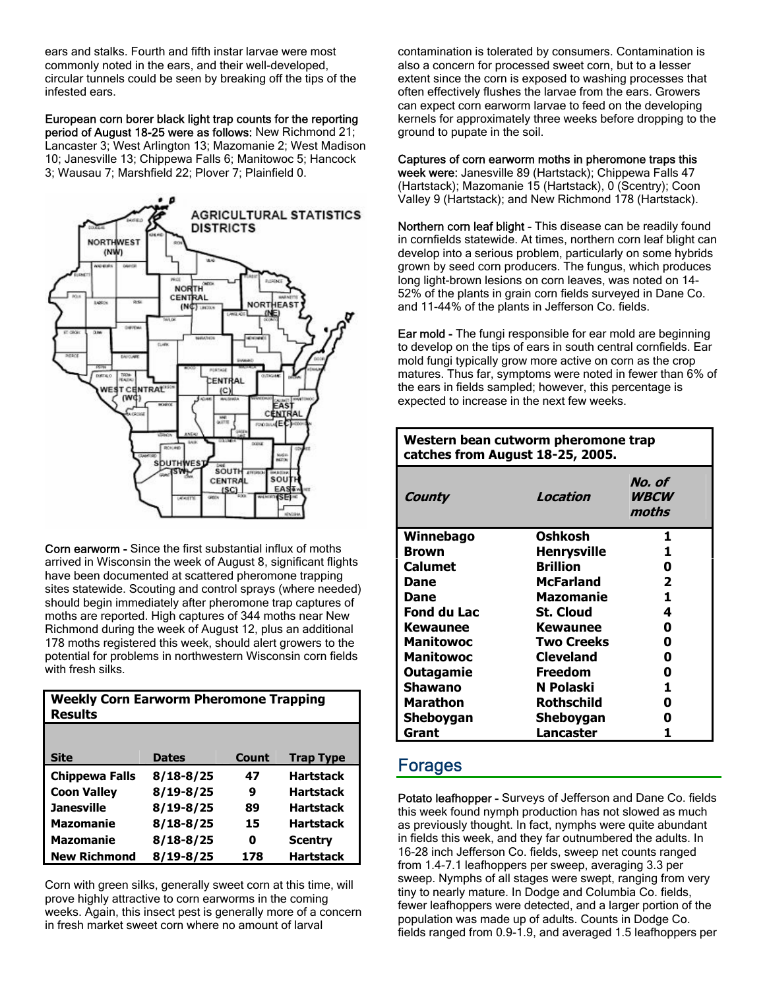ears and stalks. Fourth and fifth instar larvae were most commonly noted in the ears, and their well-developed, circular tunnels could be seen by breaking off the tips of the infested ears.

European corn borer black light trap counts for the reporting period of August 18-25 were as follows: New Richmond 21; Lancaster 3; West Arlington 13; Mazomanie 2; West Madison 10; Janesville 13; Chippewa Falls 6; Manitowoc 5; Hancock 3; Wausau 7; Marshfield 22; Plover 7; Plainfield 0.



Corn earworm - Since the first substantial influx of moths arrived in Wisconsin the week of August 8, significant flights have been documented at scattered pheromone trapping sites statewide. Scouting and control sprays (where needed) should begin immediately after pheromone trap captures of moths are reported. High captures of 344 moths near New Richmond during the week of August 12, plus an additional 178 moths registered this week, should alert growers to the potential for problems in northwestern Wisconsin corn fields with fresh silks.

| <b>Weekly Corn Earworm Pheromone Trapping</b><br><b>Results</b> |               |       |                  |  |  |  |
|-----------------------------------------------------------------|---------------|-------|------------------|--|--|--|
|                                                                 |               |       |                  |  |  |  |
| Site                                                            | <b>Dates</b>  | Count | <b>Trap Type</b> |  |  |  |
| <b>Chippewa Falls</b>                                           | $8/18 - 8/25$ | 47    | <b>Hartstack</b> |  |  |  |
| <b>Coon Valley</b>                                              | $8/19 - 8/25$ | 9     | <b>Hartstack</b> |  |  |  |
| <b>Janesville</b>                                               | $8/19 - 8/25$ | 89    | <b>Hartstack</b> |  |  |  |
| <b>Mazomanie</b>                                                | $8/18 - 8/25$ | 15    | <b>Hartstack</b> |  |  |  |
| <b>Mazomanie</b>                                                | $8/18 - 8/25$ | O     | <b>Scentry</b>   |  |  |  |
| <b>New Richmond</b>                                             | 8/19-8/25     | 178   | <b>Hartstack</b> |  |  |  |

Corn with green silks, generally sweet corn at this time, will prove highly attractive to corn earworms in the coming weeks. Again, this insect pest is generally more of a concern in fresh market sweet corn where no amount of larval

contamination is tolerated by consumers. Contamination is also a concern for processed sweet corn, but to a lesser extent since the corn is exposed to washing processes that often effectively flushes the larvae from the ears. Growers can expect corn earworm larvae to feed on the developing kernels for approximately three weeks before dropping to the ground to pupate in the soil.

#### Captures of corn earworm moths in pheromone traps this

week were: Janesville 89 (Hartstack); Chippewa Falls 47 (Hartstack); Mazomanie 15 (Hartstack), 0 (Scentry); Coon Valley 9 (Hartstack); and New Richmond 178 (Hartstack).

Northern corn leaf blight - This disease can be readily found in cornfields statewide. At times, northern corn leaf blight can develop into a serious problem, particularly on some hybrids grown by seed corn producers. The fungus, which produces long light-brown lesions on corn leaves, was noted on 14- 52% of the plants in grain corn fields surveyed in Dane Co. and 11-44% of the plants in Jefferson Co. fields.

Ear mold - The fungi responsible for ear mold are beginning to develop on the tips of ears in south central cornfields. Ear mold fungi typically grow more active on corn as the crop matures. Thus far, symptoms were noted in fewer than 6% of the ears in fields sampled; however, this percentage is expected to increase in the next few weeks.

| Western bean cutworm pheromone trap<br>catches from August 18-25, 2005. |                    |                                |  |  |  |  |
|-------------------------------------------------------------------------|--------------------|--------------------------------|--|--|--|--|
| County                                                                  | Location           | No. of<br><b>WBCW</b><br>moths |  |  |  |  |
| Winnebago                                                               | Oshkosh            | 1.                             |  |  |  |  |
| <b>Brown</b>                                                            | <b>Henrysville</b> | 1                              |  |  |  |  |
| <b>Calumet</b>                                                          | <b>Brillion</b>    | 0                              |  |  |  |  |
| Dane                                                                    | <b>McFarland</b>   | $\mathbf{2}$                   |  |  |  |  |
| Dane                                                                    | Mazomanie          | 1                              |  |  |  |  |
| Fond du Lac                                                             | <b>St. Cloud</b>   | 4                              |  |  |  |  |
| Kewaunee                                                                | <b>Kewaunee</b>    | 0                              |  |  |  |  |
| <b>Manitowoc</b>                                                        | <b>Two Creeks</b>  | 0                              |  |  |  |  |
| <b>Manitowoc</b>                                                        | <b>Cleveland</b>   | 0                              |  |  |  |  |
| <b>Outagamie</b>                                                        | <b>Freedom</b>     | 0                              |  |  |  |  |
| <b>Shawano</b>                                                          | N Polaski          | 1                              |  |  |  |  |
| Marathon                                                                | <b>Rothschild</b>  | 0                              |  |  |  |  |
| Sheboygan                                                               | Sheboygan          | Λ                              |  |  |  |  |
| Grant                                                                   | Lancaster          | 1                              |  |  |  |  |

### Forages

Potato leafhopper - Surveys of Jefferson and Dane Co. fields this week found nymph production has not slowed as much as previously thought. In fact, nymphs were quite abundant in fields this week, and they far outnumbered the adults. In 16-28 inch Jefferson Co. fields, sweep net counts ranged from 1.4-7.1 leafhoppers per sweep, averaging 3.3 per sweep. Nymphs of all stages were swept, ranging from very tiny to nearly mature. In Dodge and Columbia Co. fields, fewer leafhoppers were detected, and a larger portion of the population was made up of adults. Counts in Dodge Co. fields ranged from 0.9-1.9, and averaged 1.5 leafhoppers per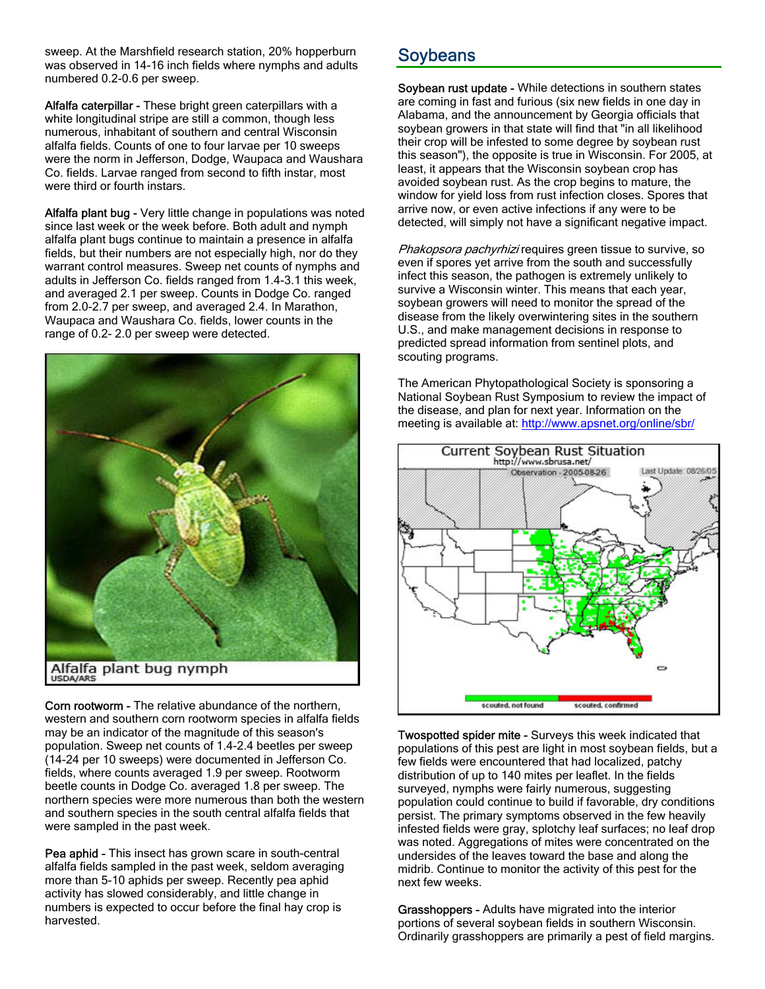sweep. At the Marshfield research station, 20% hopperburn was observed in 14-16 inch fields where nymphs and adults numbered 0.2-0.6 per sweep.

Alfalfa caterpillar - These bright green caterpillars with a white longitudinal stripe are still a common, though less numerous, inhabitant of southern and central Wisconsin alfalfa fields. Counts of one to four larvae per 10 sweeps were the norm in Jefferson, Dodge, Waupaca and Waushara Co. fields. Larvae ranged from second to fifth instar, most were third or fourth instars.

Alfalfa plant bug - Very little change in populations was noted since last week or the week before. Both adult and nymph alfalfa plant bugs continue to maintain a presence in alfalfa fields, but their numbers are not especially high, nor do they warrant control measures. Sweep net counts of nymphs and adults in Jefferson Co. fields ranged from 1.4-3.1 this week, and averaged 2.1 per sweep. Counts in Dodge Co. ranged from 2.0-2.7 per sweep, and averaged 2.4. In Marathon, Waupaca and Waushara Co. fields, lower counts in the range of 0.2- 2.0 per sweep were detected.



Corn rootworm - The relative abundance of the northern, western and southern corn rootworm species in alfalfa fields may be an indicator of the magnitude of this season's population. Sweep net counts of 1.4-2.4 beetles per sweep (14-24 per 10 sweeps) were documented in Jefferson Co. fields, where counts averaged 1.9 per sweep. Rootworm beetle counts in Dodge Co. averaged 1.8 per sweep. The northern species were more numerous than both the western and southern species in the south central alfalfa fields that were sampled in the past week.

Pea aphid - This insect has grown scare in south-central alfalfa fields sampled in the past week, seldom averaging more than 5-10 aphids per sweep. Recently pea aphid activity has slowed considerably, and little change in numbers is expected to occur before the final hay crop is harvested.

# Soybeans

Soybean rust update - While detections in southern states are coming in fast and furious (six new fields in one day in Alabama, and the announcement by Georgia officials that soybean growers in that state will find that "in all likelihood their crop will be infested to some degree by soybean rust this season"), the opposite is true in Wisconsin. For 2005, at least, it appears that the Wisconsin soybean crop has avoided soybean rust. As the crop begins to mature, the window for yield loss from rust infection closes. Spores that arrive now, or even active infections if any were to be detected, will simply not have a significant negative impact.

Phakopsora pachyrhizi requires green tissue to survive, so even if spores yet arrive from the south and successfully infect this season, the pathogen is extremely unlikely to survive a Wisconsin winter. This means that each year, soybean growers will need to monitor the spread of the disease from the likely overwintering sites in the southern U.S., and make management decisions in response to predicted spread information from sentinel plots, and scouting programs.

The American Phytopathological Society is sponsoring a National Soybean Rust Symposium to review the impact of the disease, and plan for next year. Information on the meeting is available at: http://www.apsnet.org/online/sbr/



Twospotted spider mite - Surveys this week indicated that populations of this pest are light in most soybean fields, but a few fields were encountered that had localized, patchy distribution of up to 140 mites per leaflet. In the fields surveyed, nymphs were fairly numerous, suggesting population could continue to build if favorable, dry conditions persist. The primary symptoms observed in the few heavily infested fields were gray, splotchy leaf surfaces; no leaf drop was noted. Aggregations of mites were concentrated on the undersides of the leaves toward the base and along the midrib. Continue to monitor the activity of this pest for the next few weeks.

Grasshoppers - Adults have migrated into the interior portions of several soybean fields in southern Wisconsin. Ordinarily grasshoppers are primarily a pest of field margins.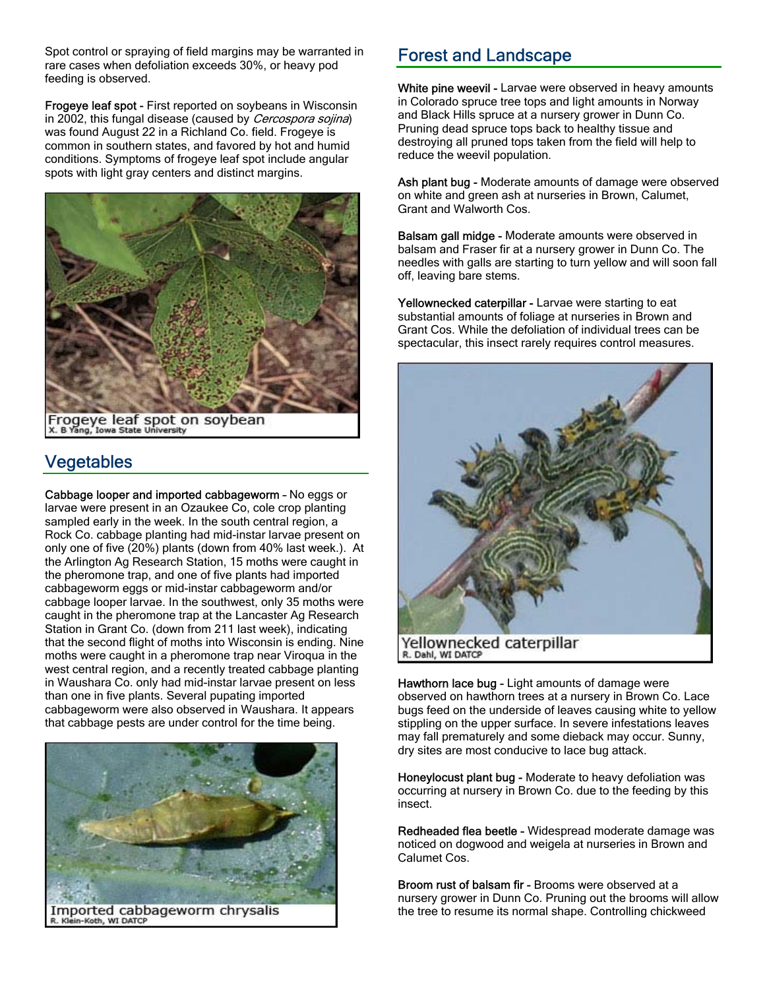Spot control or spraying of field margins may be warranted in rare cases when defoliation exceeds 30%, or heavy pod feeding is observed.

Frogeye leaf spot - First reported on soybeans in Wisconsin in 2002, this fungal disease (caused by Cercospora sojina) was found August 22 in a Richland Co. field. Frogeye is common in southern states, and favored by hot and humid conditions. Symptoms of frogeye leaf spot include angular spots with light gray centers and distinct margins.



Frogeye leaf spot on soybean

# **Vegetables**

Cabbage looper and imported cabbageworm – No eggs or larvae were present in an Ozaukee Co, cole crop planting sampled early in the week. In the south central region, a Rock Co. cabbage planting had mid-instar larvae present on only one of five (20%) plants (down from 40% last week.). At the Arlington Ag Research Station, 15 moths were caught in the pheromone trap, and one of five plants had imported cabbageworm eggs or mid-instar cabbageworm and/or cabbage looper larvae. In the southwest, only 35 moths were caught in the pheromone trap at the Lancaster Ag Research Station in Grant Co. (down from 211 last week), indicating that the second flight of moths into Wisconsin is ending. Nine moths were caught in a pheromone trap near Viroqua in the west central region, and a recently treated cabbage planting in Waushara Co. only had mid-instar larvae present on less than one in five plants. Several pupating imported cabbageworm were also observed in Waushara. It appears that cabbage pests are under control for the time being.



## Forest and Landscape

White pine weevil - Larvae were observed in heavy amounts in Colorado spruce tree tops and light amounts in Norway and Black Hills spruce at a nursery grower in Dunn Co. Pruning dead spruce tops back to healthy tissue and destroying all pruned tops taken from the field will help to reduce the weevil population.

Ash plant bug - Moderate amounts of damage were observed on white and green ash at nurseries in Brown, Calumet, Grant and Walworth Cos.

Balsam gall midge - Moderate amounts were observed in balsam and Fraser fir at a nursery grower in Dunn Co. The needles with galls are starting to turn yellow and will soon fall off, leaving bare stems.

Yellownecked caterpillar - Larvae were starting to eat substantial amounts of foliage at nurseries in Brown and Grant Cos. While the defoliation of individual trees can be spectacular, this insect rarely requires control measures.



Hawthorn lace bug - Light amounts of damage were observed on hawthorn trees at a nursery in Brown Co. Lace bugs feed on the underside of leaves causing white to yellow stippling on the upper surface. In severe infestations leaves may fall prematurely and some dieback may occur. Sunny, dry sites are most conducive to lace bug attack.

Honeylocust plant bug - Moderate to heavy defoliation was occurring at nursery in Brown Co. due to the feeding by this insect.

Redheaded flea beetle - Widespread moderate damage was noticed on dogwood and weigela at nurseries in Brown and Calumet Cos.

Broom rust of balsam fir - Brooms were observed at a nursery grower in Dunn Co. Pruning out the brooms will allow the tree to resume its normal shape. Controlling chickweed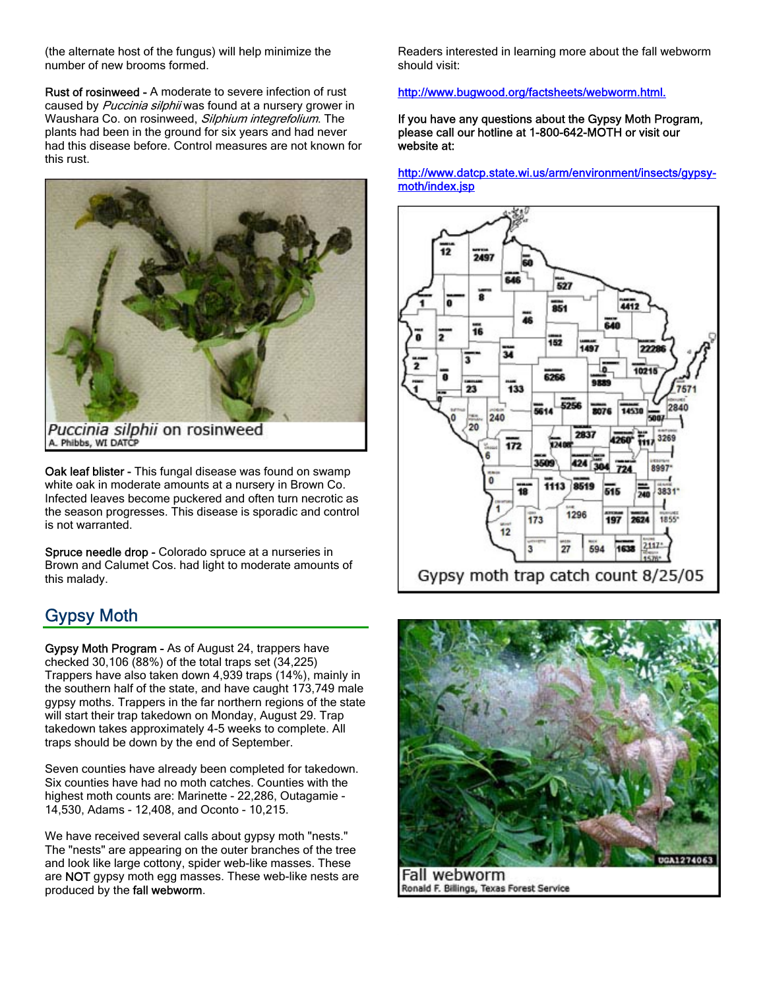(the alternate host of the fungus) will help minimize the number of new brooms formed.

Rust of rosinweed - A moderate to severe infection of rust caused by Puccinia silphii was found at a nursery grower in Waushara Co. on rosinweed, Silphium integrefolium. The plants had been in the ground for six years and had never had this disease before. Control measures are not known for this rust.



Oak leaf blister - This fungal disease was found on swamp white oak in moderate amounts at a nursery in Brown Co. Infected leaves become puckered and often turn necrotic as the season progresses. This disease is sporadic and control is not warranted.

Spruce needle drop - Colorado spruce at a nurseries in Brown and Calumet Cos. had light to moderate amounts of this malady.

# Gypsy Moth

Gypsy Moth Program - As of August 24, trappers have checked 30,106 (88%) of the total traps set (34,225) Trappers have also taken down 4,939 traps (14%), mainly in the southern half of the state, and have caught 173,749 male gypsy moths. Trappers in the far northern regions of the state will start their trap takedown on Monday, August 29. Trap takedown takes approximately 4-5 weeks to complete. All traps should be down by the end of September.

Seven counties have already been completed for takedown. Six counties have had no moth catches. Counties with the highest moth counts are: Marinette - 22,286, Outagamie - 14,530, Adams - 12,408, and Oconto - 10,215.

We have received several calls about gypsy moth "nests." The "nests" are appearing on the outer branches of the tree and look like large cottony, spider web-like masses. These are NOT gypsy moth egg masses. These web-like nests are produced by the fall webworm.

Readers interested in learning more about the fall webworm should visit:

#### http://www.bugwood.org/factsheets/webworm.html.

If you have any questions about the Gypsy Moth Program, please call our hotline at 1-800-642-MOTH or visit our website at:

http://www.datcp.state.wi.us/arm/environment/insects/gypsymoth/index.jsp



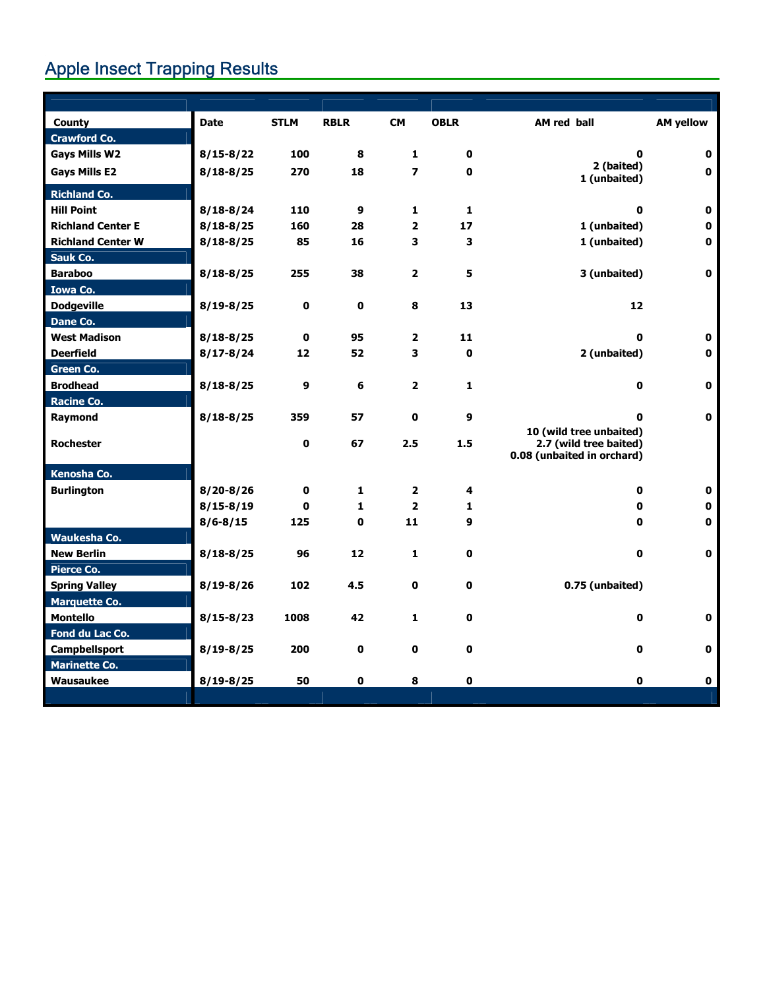# Apple Insect Trapping Results

| <b>County</b>            | <b>Date</b>   | <b>STLM</b>  | <b>RBLR</b>  | <b>CM</b>                | <b>OBLR</b>  | AM red ball                | <b>AM yellow</b> |
|--------------------------|---------------|--------------|--------------|--------------------------|--------------|----------------------------|------------------|
| <b>Crawford Co.</b>      |               |              |              |                          |              |                            |                  |
| <b>Gays Mills W2</b>     | $8/15 - 8/22$ | 100          | 8            | $\mathbf{1}$             | 0            | $\bf{0}$                   | 0                |
| <b>Gays Mills E2</b>     | $8/18 - 8/25$ | 270          | 18           | $\overline{\phantom{a}}$ | $\mathbf 0$  | 2 (baited)<br>1 (unbaited) | $\mathbf 0$      |
| <b>Richland Co.</b>      |               |              |              |                          |              |                            |                  |
| <b>Hill Point</b>        | $8/18 - 8/24$ | 110          | 9            | $\mathbf{1}$             | 1            | 0                          | 0                |
| <b>Richland Center E</b> | $8/18 - 8/25$ | 160          | 28           | $\overline{2}$           | 17           | 1 (unbaited)               | 0                |
| <b>Richland Center W</b> | $8/18 - 8/25$ | 85           | 16           | 3                        | 3            | 1 (unbaited)               | 0                |
| <b>Sauk Co.</b>          |               |              |              |                          |              |                            |                  |
| <b>Baraboo</b>           | $8/18 - 8/25$ | 255          | 38           | $\mathbf{2}$             | 5            | 3 (unbaited)               | $\mathbf 0$      |
| <b>Iowa Co.</b>          |               |              |              |                          |              |                            |                  |
| <b>Dodgeville</b>        | $8/19 - 8/25$ | 0            | 0            | 8                        | 13           | 12                         |                  |
| Dane Co.                 |               |              |              |                          |              |                            |                  |
| <b>West Madison</b>      | $8/18 - 8/25$ | $\mathbf 0$  | 95           | $\mathbf{2}$             | 11           | O                          | 0                |
| <b>Deerfield</b>         | $8/17 - 8/24$ | 12           | 52           | 3                        | 0            | 2 (unbaited)               | 0                |
| <b>Green Co.</b>         |               |              |              |                          |              |                            |                  |
| <b>Brodhead</b>          | $8/18 - 8/25$ | 9            | 6            | $\overline{2}$           | $\mathbf{1}$ | $\mathbf 0$                | $\mathbf 0$      |
| <b>Racine Co.</b>        |               |              |              |                          |              |                            |                  |
| Raymond                  | $8/18 - 8/25$ | 359          | 57           | $\mathbf 0$              | 9            | O                          | $\mathbf{0}$     |
|                          |               |              |              |                          |              | 10 (wild tree unbaited)    |                  |
| <b>Rochester</b>         |               | 0            | 67           | 2.5                      | 1.5          | 2.7 (wild tree baited)     |                  |
|                          |               |              |              |                          |              | 0.08 (unbaited in orchard) |                  |
| Kenosha Co.              |               |              |              |                          |              |                            |                  |
| <b>Burlington</b>        | $8/20 - 8/26$ | $\mathbf{0}$ | $\mathbf{1}$ | $\overline{2}$           | 4            | $\mathbf 0$                | 0                |
|                          | $8/15 - 8/19$ | $\mathbf{0}$ | $\mathbf{1}$ | $\overline{2}$           | $\mathbf{1}$ | 0                          | 0                |
|                          | $8/6 - 8/15$  | 125          | $\mathbf 0$  | 11                       | 9            | $\bf{0}$                   | 0                |
| Waukesha Co.             |               |              |              |                          |              |                            |                  |
| <b>New Berlin</b>        | $8/18 - 8/25$ | 96           | 12           | 1                        | 0            | 0                          | 0                |
| <b>Pierce Co.</b>        |               |              |              |                          |              |                            |                  |
| <b>Spring Valley</b>     | $8/19 - 8/26$ | 102          | 4.5          | $\mathbf 0$              | 0            | 0.75 (unbaited)            |                  |
| <b>Marquette Co.</b>     |               |              |              |                          |              |                            |                  |
| <b>Montello</b>          | $8/15 - 8/23$ | 1008         | 42           | $\mathbf{1}$             | 0            | 0                          | 0                |
| Fond du Lac Co.          |               |              |              |                          |              |                            |                  |
| Campbellsport            | $8/19 - 8/25$ | 200          | $\mathbf 0$  | 0                        | 0            | 0                          | 0                |
| <b>Marinette Co.</b>     |               |              |              |                          |              |                            |                  |
| Wausaukee                | $8/19 - 8/25$ | 50           | 0            | 8                        | 0            | 0                          | 0                |
|                          |               |              |              |                          |              |                            |                  |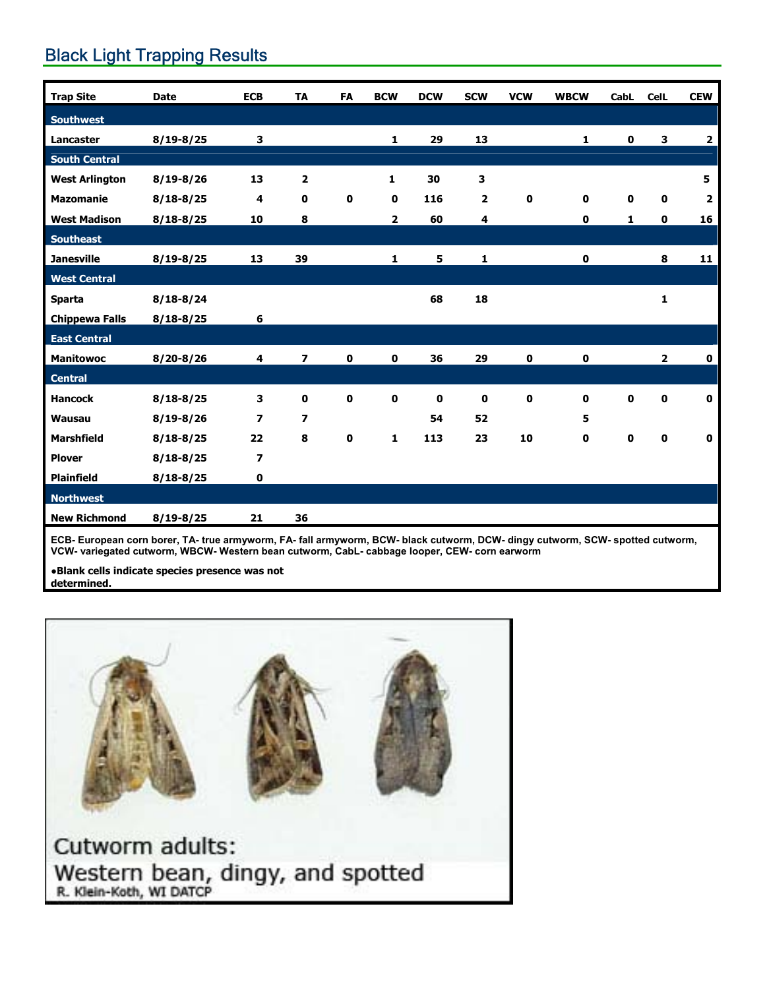# **Black Light Trapping Results**

| <b>Trap Site</b>      | <b>Date</b>   | <b>ECB</b>               | <b>TA</b>                | FA          | <b>BCW</b>   | <b>DCW</b>  | <b>SCW</b>              | <b>VCW</b>  | <b>WBCW</b>  | <b>CabL</b> | <b>CelL</b>             | <b>CEW</b>              |
|-----------------------|---------------|--------------------------|--------------------------|-------------|--------------|-------------|-------------------------|-------------|--------------|-------------|-------------------------|-------------------------|
| <b>Southwest</b>      |               |                          |                          |             |              |             |                         |             |              |             |                         |                         |
| Lancaster             | $8/19 - 8/25$ | 3                        |                          |             | $\mathbf{1}$ | 29          | 13                      |             | $\mathbf 1$  | $\mathbf 0$ | 3                       | $\mathbf{2}$            |
| <b>South Central</b>  |               |                          |                          |             |              |             |                         |             |              |             |                         |                         |
| <b>West Arlington</b> | $8/19 - 8/26$ | 13                       | $\overline{\mathbf{2}}$  |             | 1            | 30          | 3                       |             |              |             |                         | 5                       |
| <b>Mazomanie</b>      | $8/18 - 8/25$ | 4                        | $\mathbf 0$              | $\mathbf 0$ | 0            | 116         | $\overline{\mathbf{2}}$ | $\mathbf 0$ | $\mathbf 0$  | $\mathbf 0$ | $\mathbf 0$             | $\overline{\mathbf{2}}$ |
| <b>West Madison</b>   | $8/18 - 8/25$ | 10                       | 8                        |             | $\mathbf{2}$ | 60          | 4                       |             | 0            | 1           | $\mathbf 0$             | 16                      |
| <b>Southeast</b>      |               |                          |                          |             |              |             |                         |             |              |             |                         |                         |
| <b>Janesville</b>     | $8/19 - 8/25$ | 13                       | 39                       |             | 1            | 5           | 1                       |             | $\mathbf 0$  |             | 8                       | 11                      |
| <b>West Central</b>   |               |                          |                          |             |              |             |                         |             |              |             |                         |                         |
| <b>Sparta</b>         | $8/18 - 8/24$ |                          |                          |             |              | 68          | 18                      |             |              |             | $\mathbf{1}$            |                         |
| <b>Chippewa Falls</b> | $8/18 - 8/25$ | 6                        |                          |             |              |             |                         |             |              |             |                         |                         |
| <b>East Central</b>   |               |                          |                          |             |              |             |                         |             |              |             |                         |                         |
| <b>Manitowoc</b>      | $8/20 - 8/26$ | 4                        | $\overline{ }$           | $\mathbf 0$ | $\mathbf 0$  | 36          | 29                      | $\mathbf 0$ | $\mathbf 0$  |             | $\overline{\mathbf{2}}$ | $\mathbf 0$             |
| <b>Central</b>        |               |                          |                          |             |              |             |                         |             |              |             |                         |                         |
| <b>Hancock</b>        | $8/18 - 8/25$ | 3                        | $\mathbf 0$              | $\mathbf 0$ | $\mathbf 0$  | $\mathbf 0$ | 0                       | $\mathbf 0$ | $\mathbf{0}$ | $\mathbf 0$ | $\mathbf 0$             | $\mathbf 0$             |
| <b>Wausau</b>         | $8/19 - 8/26$ | $\overline{\phantom{a}}$ | $\overline{\phantom{a}}$ |             |              | 54          | 52                      |             | 5            |             |                         |                         |
| <b>Marshfield</b>     | $8/18 - 8/25$ | 22                       | 8                        | $\mathbf 0$ | $\mathbf{1}$ | 113         | 23                      | 10          | 0            | $\mathbf 0$ | $\mathbf 0$             | 0                       |
| <b>Plover</b>         | $8/18 - 8/25$ | $\overline{\phantom{a}}$ |                          |             |              |             |                         |             |              |             |                         |                         |
| <b>Plainfield</b>     | $8/18 - 8/25$ | $\mathbf 0$              |                          |             |              |             |                         |             |              |             |                         |                         |
| <b>Northwest</b>      |               |                          |                          |             |              |             |                         |             |              |             |                         |                         |
| <b>New Richmond</b>   | $8/19 - 8/25$ | 21                       | 36                       |             |              |             |                         |             |              |             |                         |                         |
|                       |               |                          |                          |             |              |             |                         |             |              |             |                         |                         |

**ECB- European corn borer, TA- true armyworm, FA- fall armyworm, BCW- black cutworm, DCW- dingy cutworm, SCW- spotted cutworm, VCW- variegated cutworm, WBCW- Western bean cutworm, CabL- cabbage looper, CEW- corn earworm** 

**●Blank cells indicate species presence was not determined.** 

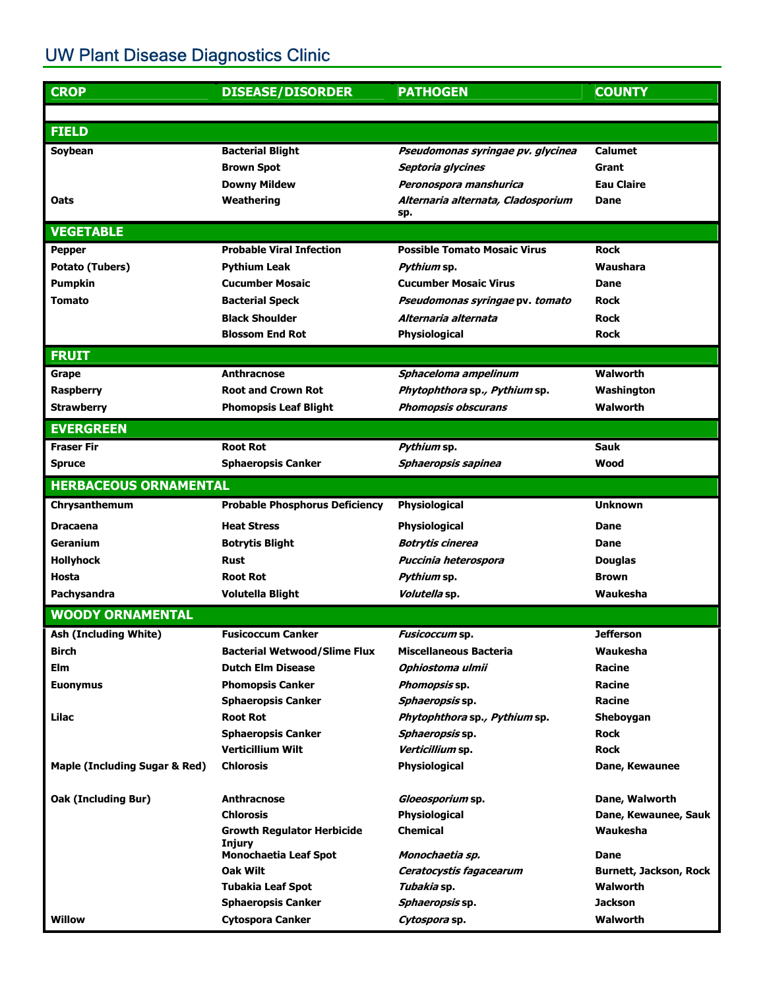# UW Plant Disease Diagnostics Clinic

| <b>CROP</b>                              | <b>DISEASE/DISORDER</b>                     | <b>PATHOGEN</b>                           | <b>COUNTY</b>                 |
|------------------------------------------|---------------------------------------------|-------------------------------------------|-------------------------------|
|                                          |                                             |                                           |                               |
| <b>FIELD</b>                             |                                             |                                           |                               |
| Soybean                                  | <b>Bacterial Blight</b>                     | Pseudomonas syringae pv. glycinea         | <b>Calumet</b>                |
|                                          | <b>Brown Spot</b>                           | Septoria glycines                         | Grant                         |
|                                          | <b>Downy Mildew</b>                         | Peronospora manshurica                    | <b>Eau Claire</b>             |
| Oats                                     | Weathering                                  | Alternaria alternata, Cladosporium<br>sp. | Dane                          |
| <b>VEGETABLE</b>                         |                                             |                                           |                               |
| <b>Pepper</b>                            | <b>Probable Viral Infection</b>             | <b>Possible Tomato Mosaic Virus</b>       | <b>Rock</b>                   |
| <b>Potato (Tubers)</b>                   | <b>Pythium Leak</b>                         | Pythium sp.                               | Waushara                      |
| <b>Pumpkin</b>                           | <b>Cucumber Mosaic</b>                      | <b>Cucumber Mosaic Virus</b>              | Dane                          |
| <b>Tomato</b>                            | <b>Bacterial Speck</b>                      | Pseudomonas syringae pv. tomato           | <b>Rock</b>                   |
|                                          | <b>Black Shoulder</b>                       | Alternaria alternata                      | <b>Rock</b>                   |
|                                          | <b>Blossom End Rot</b>                      | Physiological                             | <b>Rock</b>                   |
| <b>FRUIT</b>                             |                                             |                                           |                               |
| Grape                                    | <b>Anthracnose</b>                          | Sphaceloma ampelinum                      | <b>Walworth</b>               |
| <b>Raspberry</b>                         | <b>Root and Crown Rot</b>                   | Phytophthora sp., Pythium sp.             | Washington                    |
| <b>Strawberry</b>                        | <b>Phomopsis Leaf Blight</b>                | <b>Phomopsis obscurans</b>                | Walworth                      |
| <b>EVERGREEN</b>                         |                                             |                                           |                               |
| <b>Fraser Fir</b>                        | <b>Root Rot</b>                             | Pythium sp.                               | <b>Sauk</b>                   |
| <b>Spruce</b>                            | <b>Sphaeropsis Canker</b>                   | Sphaeropsis sapinea                       | Wood                          |
| <b>HERBACEOUS ORNAMENTAL</b>             |                                             |                                           |                               |
| Chrysanthemum                            | <b>Probable Phosphorus Deficiency</b>       | Physiological                             | <b>Unknown</b>                |
| <b>Dracaena</b>                          | <b>Heat Stress</b>                          | Physiological                             | Dane                          |
| Geranium                                 | <b>Botrytis Blight</b>                      | <b>Botrytis cinerea</b>                   | Dane                          |
| <b>Hollyhock</b>                         | <b>Rust</b>                                 | Puccinia heterospora                      | <b>Douglas</b>                |
| Hosta                                    | <b>Root Rot</b>                             | Pythium sp.                               | <b>Brown</b>                  |
| Pachysandra                              | <b>Volutella Blight</b>                     | Volutella sp.                             | Waukesha                      |
| <b>WOODY ORNAMENTAL</b>                  |                                             |                                           |                               |
| <b>Ash (Including White)</b>             | <b>Fusicoccum Canker</b>                    | <i>Fusicoccum</i> sp                      | <b>Jefferson</b>              |
| <b>Birch</b>                             | <b>Bacterial Wetwood/Slime Flux</b>         | <b>Miscellaneous Bacteria</b>             | Waukesha                      |
| <b>Elm</b>                               | <b>Dutch Elm Disease</b>                    | Ophiostoma ulmii                          | <b>Racine</b>                 |
| <b>Euonymus</b>                          | <b>Phomopsis Canker</b>                     | Phomopsis sp.                             | <b>Racine</b>                 |
|                                          | <b>Sphaeropsis Canker</b>                   | Sphaeropsis sp.                           | Racine                        |
| Lilac                                    | <b>Root Rot</b>                             | Phytophthora sp., Pythium sp.             | Sheboygan                     |
|                                          | <b>Sphaeropsis Canker</b>                   | Sphaeropsis sp.                           | <b>Rock</b>                   |
|                                          | <b>Verticillium Wilt</b>                    | Verticillium sp.                          | <b>Rock</b>                   |
| <b>Maple (Including Sugar &amp; Red)</b> | <b>Chlorosis</b>                            | Physiological                             | Dane, Kewaunee                |
| <b>Oak (Including Bur)</b>               | <b>Anthracnose</b>                          | Gloeosporium sp.                          | Dane, Walworth                |
|                                          | <b>Chlorosis</b>                            | Physiological                             | Dane, Kewaunee, Sauk          |
|                                          | <b>Growth Regulator Herbicide</b><br>Injury | <b>Chemical</b>                           | Waukesha                      |
|                                          | <b>Monochaetia Leaf Spot</b>                | Monochaetia sp.                           | Dane                          |
|                                          | Oak Wilt                                    | Ceratocystis fagacearum                   | <b>Burnett, Jackson, Rock</b> |
|                                          | <b>Tubakia Leaf Spot</b>                    | <i>Tubakia</i> sp.                        | <b>Walworth</b>               |
|                                          | <b>Sphaeropsis Canker</b>                   | Sphaeropsis sp.                           | <b>Jackson</b>                |
| <b>Willow</b>                            | <b>Cytospora Canker</b>                     | Cytospora sp.                             | Walworth                      |